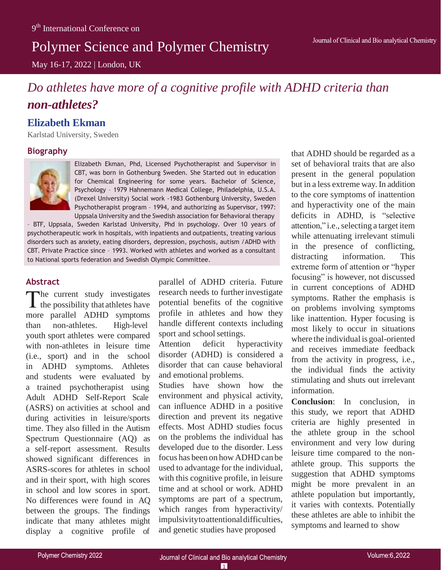# Polymer Science and Polymer Chemistry

May 16-17, 2022 | London, UK

# *Do athletes have more of a cognitive profile with ADHD criteria than non-athletes?*

## **Elizabeth Ekman**

Karlstad University, Sweden

### **Biography**



Elizabeth Ekman, Phd, Licensed Psychotherapist and Supervisor in CBT, was born in Gothenburg Sweden. She Started out in education for Chemical Engineering for some years. Bachelor of Science, Psychology – 1979 Hahnemann Medical College, Philadelphia, U.S.A. (Drexel University) Social work -1983 Gothenburg University, Sweden Psychotherapist program – 1994, and authorizing as Supervisor, 1997: Uppsala University and the Swedish association for Behavioral therapy

– BTF, Uppsala, Sweden Karlstad University, Phd in psychology. Over 10 years of psychotherapeutic work in hospitals, with inpatients and outpatients, treating various disorders such as anxiety, eating disorders, depression, psychosis, autism /ADHD with CBT. Private Practice since – 1993. Worked with athletes and worked as a consultant to National sports federation and Swedish Olympic Committee.

### **Abstract**

The current study investigates  $\blacktriangle$  the possibility that athletes have more parallel ADHD symptoms than non-athletes. High-level youth sport athletes were compared with non-athletes in leisure time (i.e., sport) and in the school in ADHD symptoms. Athletes and students were evaluated by a trained psychotherapist using Adult ADHD Self-Report Scale (ASRS) on activities at school and during activities in leisure/sports time. They also filled in the Autism Spectrum Questionnaire (AQ) as a self-report assessment. Results showed significant differences in ASRS-scores for athletes in school and in their sport, with high scores in school and low scores in sport. No differences were found in AQ between the groups. The findings indicate that many athletes might display a cognitive profile of

parallel of ADHD criteria. Future research needs to further investigate potential benefits of the cognitive profile in athletes and how they handle different contexts including sport and school settings.

Attention deficit hyperactivity disorder (ADHD) is considered a disorder that can cause behavioral and emotional problems.

Studies have shown how the environment and physical activity, can influence ADHD in a positive direction and prevent its negative effects. Most ADHD studies focus on the problems the individual has developed due to the disorder. Less focus has been on how ADHD can be used to advantage for the individual, with this cognitive profile, in leisure time and at school or work. ADHD symptoms are part of a spectrum, which ranges from hyperactivity/ impulsivitytoattentionaldifficulties, and genetic studies have proposed

that ADHD should be regarded as a set of behavioral traits that are also present in the general population but in a less extreme way. In addition to the core symptoms of inattention and hyperactivity one of the main deficits in ADHD, is "selective attention," i.e., selecting a target item while attenuating irrelevant stimuli in the presence of conflicting, distracting information. This extreme form of attention or "hyper focusing" is however, not discussed in current conceptions of ADHD symptoms. Rather the emphasis is on problems involving symptoms like inattention. Hyper focusing is most likely to occur in situations where the individual is goal-oriented and receives immediate feedback from the activity in progress, i.e., the individual finds the activity stimulating and shuts out irrelevant information.

**Conclusion**: In conclusion, in this study, we report that ADHD criteria are highly presented in the athlete group in the school environment and very low during leisure time compared to the nonathlete group. This supports the suggestion that ADHD symptoms might be more prevalent in an athlete population but importantly, it varies with contexts. Potentially these athletes are able to inhibit the symptoms and learned to show